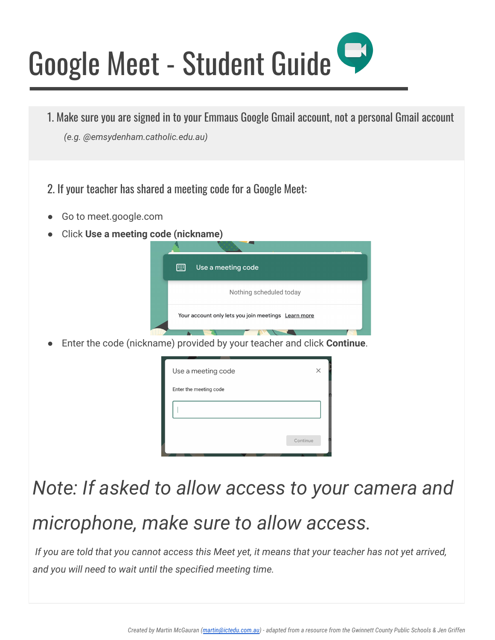# Google Meet - Student Guide

- 1. Make sure you are signed in to your Emmaus Google Gmail account, not a personal Gmail account
	- *(e.g. @emsydenham.catholic.edu.au)*
- 2. If your teacher has shared a meeting code for a Google Meet:
- Go to meet.google.com
- Click **Use a meeting code (nickname)**

| 圖<br>Use a meeting code                             |
|-----------------------------------------------------|
| Nothing scheduled today                             |
| Your account only lets you join meetings Learn more |

Enter the code (nickname) provided by your teacher and click **Continue**.

| Use a meeting code     |          |
|------------------------|----------|
| Enter the meeting code |          |
|                        |          |
|                        |          |
|                        | Continue |
|                        |          |

### *Note: If asked to allow access to your camera and*

## *microphone, make sure to allow access.*

 *If you are told that you cannot access this Meet yet, it means that your teacher has not yet arrived, and you will need to wait until the specified meeting time.*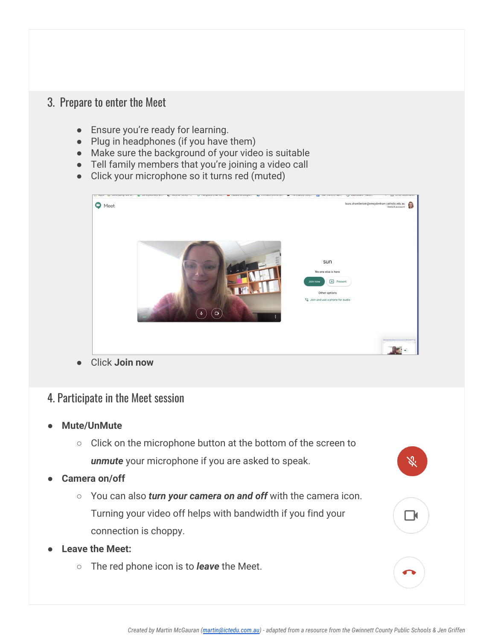#### 3. Prepare to enter the Meet

- Ensure you're ready for learning.
- Plug in headphones (if you have them)
- Make sure the background of your video is suitable
- Tell family members that you're joining a video call
- Click your microphone so it turns red (muted)



#### 4. Participate in the Meet session

- **Mute/UnMute**
	- Click on the microphone button at the bottom of the screen to *unmute* your microphone if you are asked to speak.
- Camera on/off
	- You can also *turn your camera on and off* with the camera icon. Turning your video off helps with bandwidth if you find your connection is choppy.
- Leave the Meet:
	- The red phone icon is to *leave* the Meet.

 $\Box$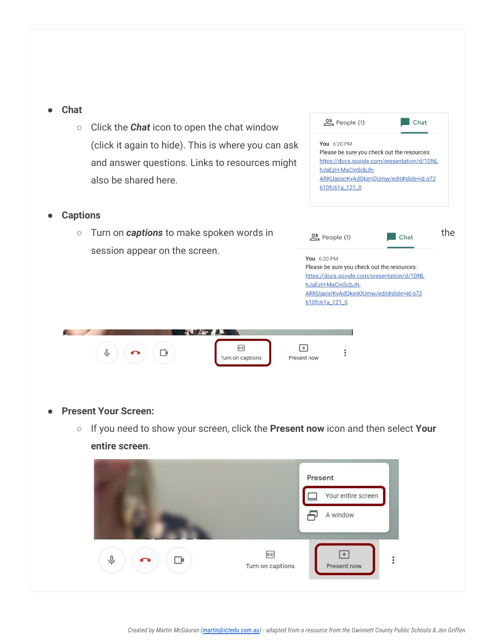| <b>Chat</b><br>$\bigcirc$ | Click the <b>Chat</b> icon to open the chat window<br>(click it again to hide). This is where you can ask<br>and answer questions. Links to resources might<br>also be shared here. | $2$ People (1)<br>Chat<br>You 6:20 PM<br>Please be sure you check out the resources:<br>https://docs.google.com/presentation/d/1DNL<br>hJaEzH-MaCjnScbJh-<br>ARKUapixrKyAdQkerjQUmw/edit#slide=id.g72<br>610fc61a_121_0 |  |
|---------------------------|-------------------------------------------------------------------------------------------------------------------------------------------------------------------------------------|-------------------------------------------------------------------------------------------------------------------------------------------------------------------------------------------------------------------------|--|
| <b>Captions</b>           |                                                                                                                                                                                     |                                                                                                                                                                                                                         |  |
| $\bigcirc$                | Turn on <b>captions</b> to make spoken words in                                                                                                                                     | the<br>People (1)<br>Chat                                                                                                                                                                                               |  |
|                           | session appear on the screen.                                                                                                                                                       |                                                                                                                                                                                                                         |  |
|                           |                                                                                                                                                                                     | You 6:20 PM<br>Please be sure you check out the resources:                                                                                                                                                              |  |
|                           |                                                                                                                                                                                     | https://docs.google.com/presentation/d/1DNL<br>hJaEzH-MaCjnScbJh-                                                                                                                                                       |  |
|                           |                                                                                                                                                                                     | ARKUapixrKyAdQkerjQUmw/edit#slide=id.g72<br>610fc61a_121_0                                                                                                                                                              |  |
|                           | $c$ c<br>Turn on captions                                                                                                                                                           | $\ddot{\phantom{1}}$<br>Present now                                                                                                                                                                                     |  |
|                           | <b>Present Your Screen:</b>                                                                                                                                                         |                                                                                                                                                                                                                         |  |
| $\bigcirc$                | If you need to show your screen, click the Present now icon and then select Your<br>entire screen.                                                                                  |                                                                                                                                                                                                                         |  |
|                           |                                                                                                                                                                                     | Present<br>Your entire screen<br>A window                                                                                                                                                                               |  |

 $\boxed{\textcolor{red}{\uparrow}}$ 

Present now

 $\vdots$ 

 $\boxed{\text{cc}}$ 

Turn on captions

 $\left( \begin{array}{c} \square \end{array} \right)$ 

 $\sqrt{2}$ 

 $(\bullet)$